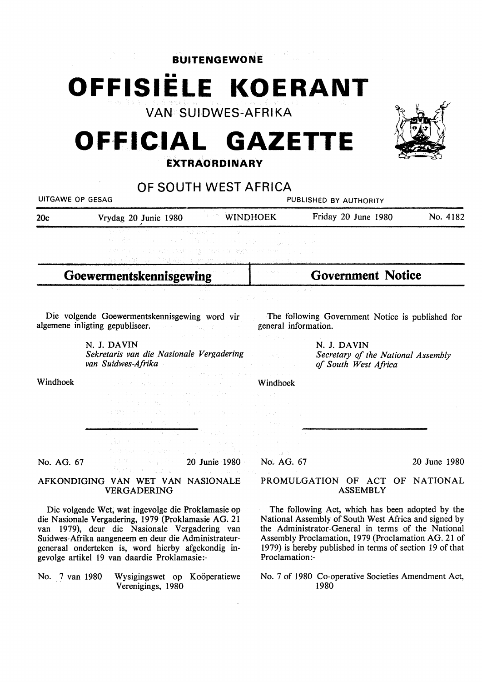### **BUITENGEWONE**

•• **OFFISIELE KOERANT** 

**VAN SUIDWES-AFRIKA** 

### **OFFICIAL GAZETTE l:XTRAORDINARV**



### **OF SOUTH WEST AFRICA**

| UF JUUTTI WEJT AFNIUM<br>UITGAWE OP GESAG |                                                                                                                                                                                                                                                                                                                                                                                                                                                                                                                                                                                                                                                                                                                                  |                                                                                                                                                                                                                                                      | PUBLISHED BY AUTHORITY   |                                                                                                                                                                                                                                                                                   |              |
|-------------------------------------------|----------------------------------------------------------------------------------------------------------------------------------------------------------------------------------------------------------------------------------------------------------------------------------------------------------------------------------------------------------------------------------------------------------------------------------------------------------------------------------------------------------------------------------------------------------------------------------------------------------------------------------------------------------------------------------------------------------------------------------|------------------------------------------------------------------------------------------------------------------------------------------------------------------------------------------------------------------------------------------------------|--------------------------|-----------------------------------------------------------------------------------------------------------------------------------------------------------------------------------------------------------------------------------------------------------------------------------|--------------|
| 20c                                       | Vrydag 20 Junie 1980                                                                                                                                                                                                                                                                                                                                                                                                                                                                                                                                                                                                                                                                                                             | <b>WINDHOEK</b>                                                                                                                                                                                                                                      |                          | Friday 20 June 1980                                                                                                                                                                                                                                                               | No. 4182     |
|                                           | $\mathcal{N} = \mathcal{N} \mathcal{N} = \mathcal{N} \mathcal{N} = \mathcal{N} \mathcal{N} \mathcal{N} \mathcal{N} \mathcal{N} \mathcal{N} \mathcal{N} \mathcal{N} \mathcal{N}$<br>インオイ エンジャー いっこう ないねい こうかいこうしゃ にほんしょうきょう<br>matter and completed to the contract of states in the feature in the complete<br>aligna og til elagisk og av en k                                                                                                                                                                                                                                                                                                                                                                                  | in a S                                                                                                                                                                                                                                               |                          |                                                                                                                                                                                                                                                                                   |              |
| Goewermentskennisgewing                   |                                                                                                                                                                                                                                                                                                                                                                                                                                                                                                                                                                                                                                                                                                                                  |                                                                                                                                                                                                                                                      | <b>Government Notice</b> |                                                                                                                                                                                                                                                                                   |              |
|                                           |                                                                                                                                                                                                                                                                                                                                                                                                                                                                                                                                                                                                                                                                                                                                  |                                                                                                                                                                                                                                                      | and the company of       |                                                                                                                                                                                                                                                                                   |              |
|                                           | Die volgende Goewermentskennisgewing word vir<br>algemene inligting gepubliseer.<br>general information.                                                                                                                                                                                                                                                                                                                                                                                                                                                                                                                                                                                                                         |                                                                                                                                                                                                                                                      |                          | The following Government Notice is published for                                                                                                                                                                                                                                  |              |
|                                           | N. J. DAVIN<br>Sekretaris van die Nasionale Vergadering<br><b>van Suidwes-Afrika</b> die eerste van die verwys van die verwys van die verwys van die verwys van die verwys van die v                                                                                                                                                                                                                                                                                                                                                                                                                                                                                                                                             | $\mathcal{A}_\lambda(\mathcal{A}) = \mathcal{A}_\lambda(\mathcal{A}) = \mathcal{A}_\lambda(\mathcal{A}) = \mathcal{A}_\lambda(\mathcal{A}) = \mathcal{A}_\lambda(\mathcal{A}) = \mathcal{A}_\lambda(\mathcal{A}) = \mathcal{A}_\lambda(\mathcal{A})$ |                          | N. J. DAVIN<br>Secretary of the National Assembly<br>of South West Africa                                                                                                                                                                                                         |              |
| Windhoek                                  | The Motor County of Engine Contract County of<br>and <b>Windhoek</b> and the second contract of the <b>Windhoek</b><br>of a constant with property of a steel community of a<br>the state of the state of the state of the state of the state of the state of the state of the state of the state of the state of the state of the state of the state of the state of the state of the state of the state of t<br>到10%的 The Country of Countries (1970) (1970) (1970) (1970) (1970)<br>Walders Holly Area in the Control of the Control Martin<br>aliku sebagai pertama sebagai pertama pendapat ke kecamatan.<br>Kekamatan pertama sebagai pertama pertama pertama dan pendapat pertama pertama pertama pertama pertama pertama | in de la Barcella de Casalha de la Casalha de la Casalha de la Casalha de la Casalha de la Casalha de la Casal<br>Casalha de la Casalha de la Casalha de la Casalha de la Casalha de la Casalha de la Casalha de la Casalha de l                     |                          |                                                                                                                                                                                                                                                                                   |              |
| No. AG. 67                                | ส์พราคม (ค.ศ. 252 - มีนาคม (ค.ศ. 252 - มีนาคม (ค.ศ. 252 - มีนาคม (ค.ศ. 252 - มีนาคม (ค.ศ. 252 - มีนาคม เค                                                                                                                                                                                                                                                                                                                                                                                                                                                                                                                                                                                                                        | <b>20 Junie 1980 No. AG. 67</b>                                                                                                                                                                                                                      |                          |                                                                                                                                                                                                                                                                                   | 20 June 1980 |
|                                           | AFKONDIGING VAN WET VAN NASIONALE<br><b>VERGADERING</b>                                                                                                                                                                                                                                                                                                                                                                                                                                                                                                                                                                                                                                                                          |                                                                                                                                                                                                                                                      |                          | PROMULGATION OF ACT OF NATIONAL<br><b>ASSEMBLY</b>                                                                                                                                                                                                                                |              |
|                                           | Die volgende Wet, wat ingevolge die Proklamasie op<br>die Nasionale Vergadering, 1979 (Proklamasie AG. 21<br>van 1979), deur die Nasionale Vergadering van<br>Suidwes-Afrika aangeneem en deur die Administrateur-<br>generaal onderteken is, word hierby afgekondig in-<br>gevolge artikel 19 van daardie Proklamasie:-                                                                                                                                                                                                                                                                                                                                                                                                         |                                                                                                                                                                                                                                                      | Proclamation:-           | The following Act, which has been adopted by the<br>National Assembly of South West Africa and signed by<br>the Administrator-General in terms of the National<br>Assembly Proclamation, 1979 (Proclamation AG. 21 of<br>1979) is hereby published in terms of section 19 of that |              |
| No. 7 van 1980                            | Wysigingswet op Koöperatiewe<br>Verenigings, 1980                                                                                                                                                                                                                                                                                                                                                                                                                                                                                                                                                                                                                                                                                |                                                                                                                                                                                                                                                      |                          | No. 7 of 1980 Co-operative Societies Amendment Act,<br>1980                                                                                                                                                                                                                       |              |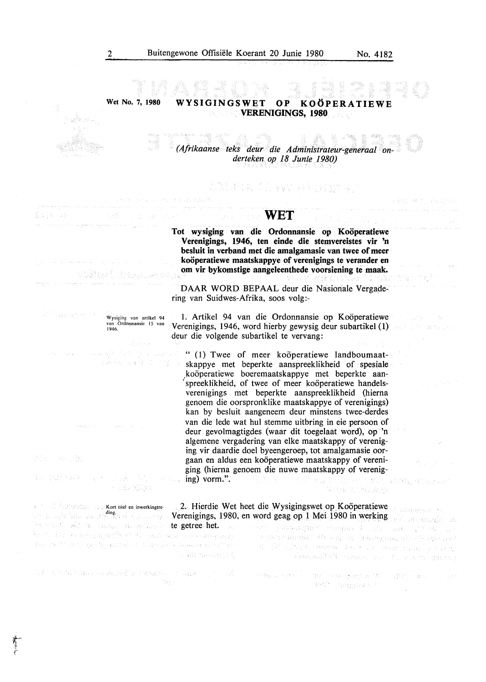PROVINCIAL AND R

 $\label{eq:1} \frac{1}{2} \frac{\partial^2 \phi}{\partial \phi} \partial_\mu \partial_\nu \partial_\nu \phi = \frac{1}{2} \frac{\partial^2 \phi}{\partial \phi} \partial_\nu \phi$ 

(马登达) 被 不。

**Wet No. 7, 1980**  YSIGINGSWET OP KOÖPERATIEWE **VERENIGINGS, 1980** 

ang.

A BY MAR *(Afrikaanse teks deur die Administrateur-generaal onderteken op 18 Junie 1980)* 

## " 이 있는 사람이 있는 말이 많이 있는 것이 있다"<br>- Hotel No. All No. All 말이 많이 있는 것이 아니?

#### **WET**

Tot wysiging van die Ordonnansie op Koöperatiewe **Verenigings, 1946, ten einde die stemvereistes vir 'n besluit in verband met die amalgamasie van twee of meer kooperatiewe maatskappye of verenigings te verander en om vir bykomstige aangeleenthede voorsiening te maak.** 

DAAR WORD BEPAAL deur die Nasionale Vergadering van Suidwes-Afrika, soos volg:-

1. Artikel 94 van die Ordonnansie op Koöperatiewe Verenigings, 1946, word hierby gewysig deur subartikel (1) deur die volgende subartikel te vervang:

" (1) Twee of meer koöperatiewe landboumaatskappye met beperkte aanspreeklikheid of spesiale \_kooperatiewe boeremaatskappye met beperkte aan spreeklikheid, of twee of meer koöperatiewe handelsverenigings met beperkte aanspreeklikheid (hierna genoem die oorspronklike maatskappye of verenigings) kan by besluit aangeneem deur minstens twee-derdes van die lede wat hul stemme uitbring in eie persoon of deur gevolmagtigdes (waar dit toegelaat word), op 'n algemene vergadering van elke maatskappy of vereniging vir daardie doel byeengeroep, tot amalgamasie oorgaan en aldus een kooperatiewe maatskappy of vereniging (hierna genoem die nuwe maatskappy of verenig-しえこうしゃ とんた はいど 水の 一説(概) 横波のあ

ding. Verenigings, 1980, en word geag op 1 Mei 1980 in werking 2. Hierdie Wet heet die Wysigingswet op Koöperatiewe

reality and abreviate and the disappling of the special 4 ji saka wasan kasa sa sana mata ya sana watermark of the most of whom the second

**SACRA SULFACIONA** 

ing the special control of

"当我们心里就是了。"我们不要问题说明了解。而这样的问题。 PART Spagglases for

 $\mathcal{L}_{\mathcal{D}}(\mathbf{x},\omega) = \mathcal{L}_{\mathcal{D}}(\mathbf{x},\mathbf{q},\mathcal{I}) + \mathcal{L}_{\mathcal{D}}(\mathbf{x},\omega) \mathcal{L}_{\mathcal{D}}(\mathbf{x},\omega)$ 

sterne

1946.

Wysiging van artikel 94 **van Ordonnansie 15 van** 

a stranger of the first state of the

stissi man (b

r  $\cdot$ *t* 

ing) vorm.". **A BERGERY** 

**Kort titel en inwerkingtre**te getree het. Dit van die gevolk het getree het.<br>Portbrieden te getreenpeelt en vir maak geleen die gepaak zo mang. A saki ng anggo ng pagalo and of the strape for gradual and proper consequence of the 小田 年代のほど

the contraction of the contraction of the contraction of the contraction of the contraction of the contraction of the contraction of the contraction of the contraction of the contraction of the contraction of the contracti ∩ise v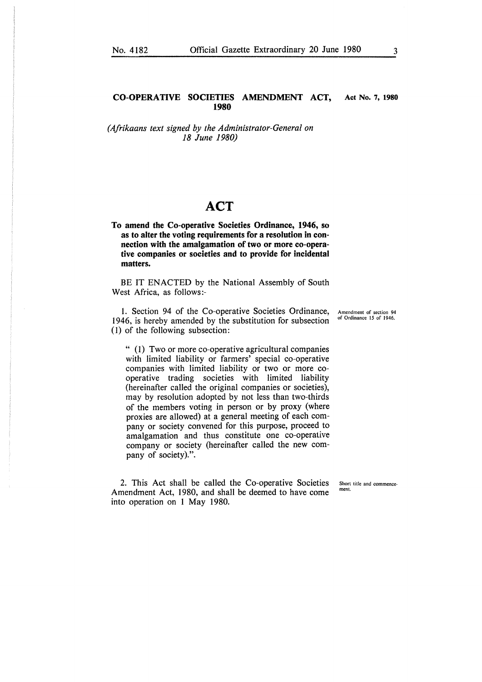#### **CO-OPERATIVE SOCIETIES AMENDMENT ACT, Act No. 7, 1980 1980**

*(Afrikaans text signed by the Administrator-General on 18 June 1980)* 

#### **ACT**

**To amend the Co-operative Societies Ordinance, 1946, so as to alter the voting requirements for a resolution in connection with the amalgamation of two or more co-operative companies or societies and to provide for incidental matters.** 

BE IT ENACTED by the National Assembly of South West Africa, as follows:-

1. Section 94 of the Co-operative Societies Ordinance, 1946, is hereby amended by the substitution for subsection (1) of the following subsection:

" (1) Two or more co-operative agricultural companies with limited liability or farmers' special co-operative companies with limited liability or two or more cooperative trading societies with limited liability (hereinafter called the original companies or societies), may by resolution adopted by not less than two-thirds of the members voting in person or by proxy (where proxies are allowed) at a general meeting of each company or society convened for this purpose, proceed to amalgamation and thus constitute one co-operative company or society (hereinafter called the new company of society).".

2. This Act shall be called the Co-operative Societies Amendment Act, 1980, and shall be deemed to have come into operation on l May 1980.

Amendment of section 94 of Ordinance 15 of 1946.

Short title and commence **ment.**